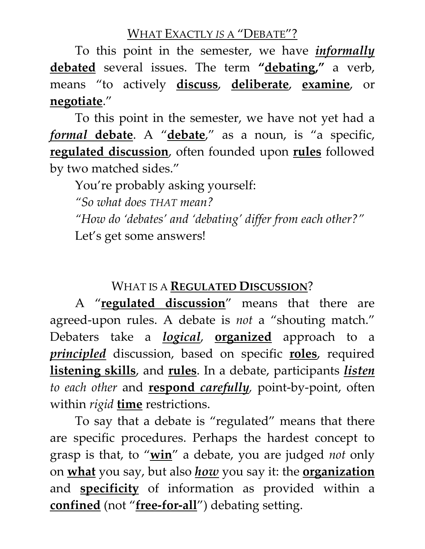### WHAT EXACTLY *IS* A "DEBATE"?

To this point in the semester, we have *informally* **debated** several issues. The term **"debating, "** a verb, means "to actively **discuss**, **deliberate**, **examine**, or **negotiate**."

To this point in the semester, we have not yet had a *formal* **debate**. A "**debate**, " as a noun, is "a specific, **regulated discussion**, often founded upon **rules** followed by two matched sides."

You're probably asking yourself:

*"So what does THAT mean?* 

*"How do 'debates' and 'debating' differ from each other?"* Let's get some answers!

# WHAT IS A **REGULATED DISCUSSION**?

A "**regulated discussion**" means that there are agreed-upon rules. A debate is *not* a "shouting match." Debaters take a *logical*, **organized** approach to a *principled* discussion, based on specific **roles**, required **listening skills**, and **rules**. In a debate, participants *listen to each other* and **respond** *carefully,* point-by-point, often within *rigid* **time** restrictions.

To say that a debate is "regulated" means that there are specific procedures. Perhaps the hardest concept to grasp is that, to "**win**" a debate, you are judged *not* only on **what** you say, but also *how* you say it: the **organization** and **specificity** of information as provided within a **confined** (not "**free-for-all**") debating setting.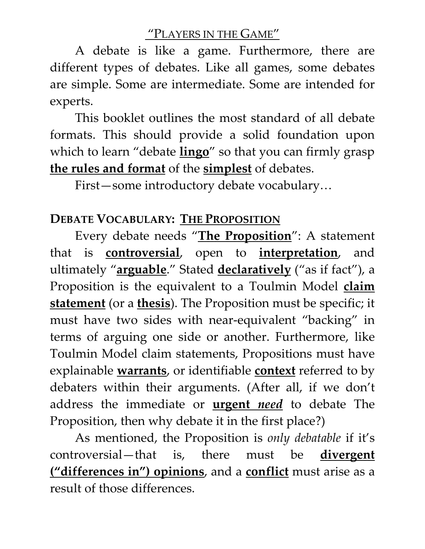### "PLAYERS IN THE GAME"

A debate is like a game. Furthermore, there are different types of debates. Like all games, some debates are simple. Some are intermediate. Some are intended for experts.

This booklet outlines the most standard of all debate formats. This should provide a solid foundation upon which to learn "debate **lingo**" so that you can firmly grasp **the rules and format** of the **simplest** of debates.

First—some introductory debate vocabulary…

### **DEBATE VOCABULARY: THE PROPOSITION**

Every debate needs "**The Proposition**": A statement that is **controversial**, open to **interpretation**, and ultimately "**arguable**." Stated **declaratively** ("as if fact"), a Proposition is the equivalent to a Toulmin Model **claim statement** (or a **thesis**). The Proposition must be specific; it must have two sides with near-equivalent "backing" in terms of arguing one side or another. Furthermore, like Toulmin Model claim statements, Propositions must have explainable **warrants**, or identifiable **context** referred to by debaters within their arguments. (After all, if we don't address the immediate or **urgent** *need* to debate The Proposition, then why debate it in the first place?)

As mentioned, the Proposition is *only debatable* if it's controversial—that is, there must be **divergent ("differences in") opinions**, and a **conflict** must arise as a result of those differences.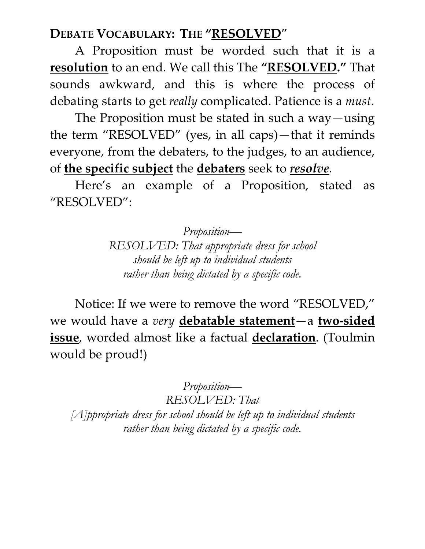## **DEBATE VOCABULARY: THE "RESOLVED**"

A Proposition must be worded such that it is a **resolution** to an end. We call this The **"RESOLVED."** That sounds awkward, and this is where the process of debating starts to get *really* complicated. Patience is a *must*.

The Proposition must be stated in such a way—using the term "RESOLVED" (yes, in all caps)—that it reminds everyone, from the debaters, to the judges, to an audience, of **the specific subject** the **debaters** seek to *resolve.*

Here's an example of a Proposition, stated as "RESOLVED":

> *Proposition— RESOLVED: That appropriate dress for school should be left up to individual students rather than being dictated by a specific code.*

Notice: If we were to remove the word "RESOLVED," we would have a *very* **debatable statement**—a **two-sided issue**, worded almost like a factual **declaration**. (Toulmin would be proud!)

> *Proposition— RESOLVED: That*

*[A]ppropriate dress for school should be left up to individual students rather than being dictated by a specific code.*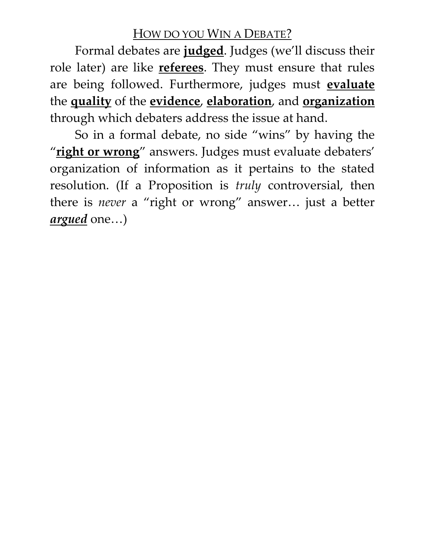### HOW DO YOU WIN A DEBATE?

Formal debates are **judged**. Judges (we'll discuss their role later) are like **referees**. They must ensure that rules are being followed. Furthermore, judges must **evaluate** the **quality** of the **evidence**, **elaboration**, and **organization** through which debaters address the issue at hand.

So in a formal debate, no side "wins" by having the "**right or wrong**" answers. Judges must evaluate debaters' organization of information as it pertains to the stated resolution. (If a Proposition is *truly* controversial, then there is *never* a "right or wrong" answer… just a better *argued* one…)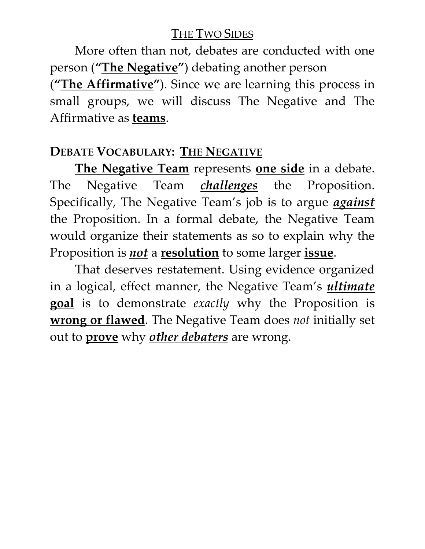### THE TWO SIDES

More often than not, debates are conducted with one person (**"The Negative"**) debating another person

(**"The Affirmative"**). Since we are learning this process in small groups, we will discuss The Negative and The Affirmative as **teams**.

## **DEBATE VOCABULARY: THE NEGATIVE**

**The Negative Team** represents **one side** in a debate. The Negative Team *challenges* the Proposition. Specifically, The Negative Team's job is to argue *against* the Proposition. In a formal debate, the Negative Team would organize their statements as so to explain why the Proposition is *not* a **resolution** to some larger **issue**.

That deserves restatement. Using evidence organized in a logical, effect manner, the Negative Team's *ultimate*  **goal** is to demonstrate *exactly* why the Proposition is **wrong or flawed**. The Negative Team does *not* initially set out to **prove** why *other debaters* are wrong.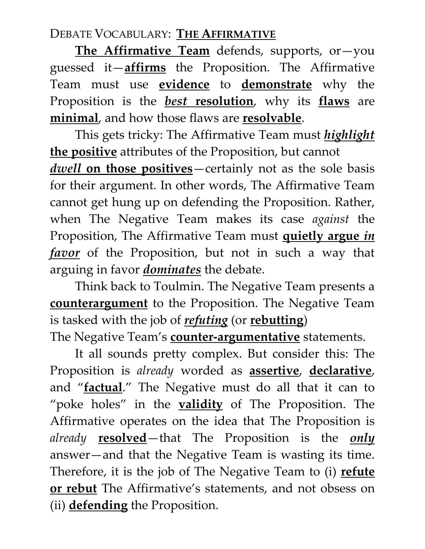# DEBATE VOCABULARY: **THE AFFIRMATIVE**

**The Affirmative Team** defends, supports, or—you guessed it—**affirms** the Proposition. The Affirmative Team must use **evidence** to **demonstrate** why the Proposition is the *best* **resolution**, why its **flaws** are **minimal**, and how those flaws are **resolvable**.

This gets tricky: The Affirmative Team must *highlight* **the positive** attributes of the Proposition, but cannot *dwell* **on those positives**—certainly not as the sole basis for their argument. In other words, The Affirmative Team cannot get hung up on defending the Proposition. Rather, when The Negative Team makes its case *against* the Proposition, The Affirmative Team must **quietly argue** *in favor* of the Proposition, but not in such a way that arguing in favor *dominates* the debate.

Think back to Toulmin. The Negative Team presents a **counterargument** to the Proposition. The Negative Team is tasked with the job of *refuting* (or **rebutting**)

The Negative Team's **counter-argumentative** statements.

It all sounds pretty complex. But consider this: The Proposition is *already* worded as **assertive**, **declarative**, and "**factual**." The Negative must do all that it can to "poke holes" in the **validity** of The Proposition. The Affirmative operates on the idea that The Proposition is *already* **resolved**—that The Proposition is the *only* answer—and that the Negative Team is wasting its time. Therefore, it is the job of The Negative Team to (i) **refute or rebut** The Affirmative's statements, and not obsess on (ii) **defending** the Proposition.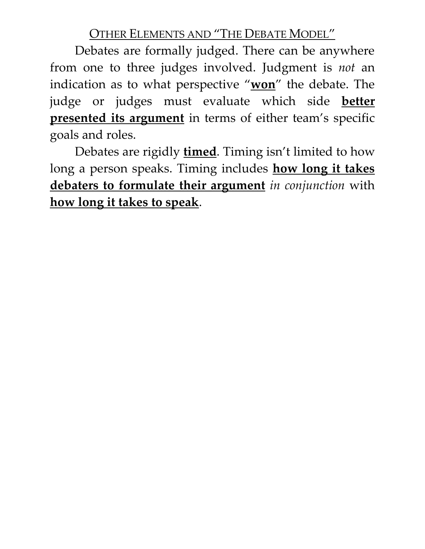OTHER ELEMENTS AND "THE DEBATE MODEL"

Debates are formally judged. There can be anywhere from one to three judges involved. Judgment is *not* an indication as to what perspective "**won**" the debate. The judge or judges must evaluate which side **better presented its argument** in terms of either team's specific goals and roles.

Debates are rigidly **timed**. Timing isn't limited to how long a person speaks. Timing includes **how long it takes debaters to formulate their argument** *in conjunction* with **how long it takes to speak**.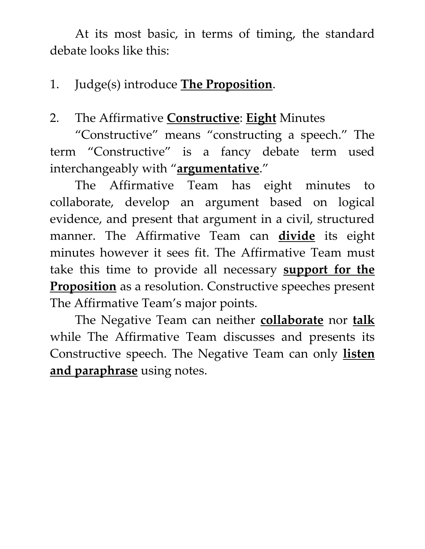At its most basic, in terms of timing, the standard debate looks like this:

# 1. Judge(s) introduce **The Proposition**.

# 2. The Affirmative **Constructive**: **Eight** Minutes

"Constructive" means "constructing a speech." The term "Constructive" is a fancy debate term used interchangeably with "**argumentative**."

The Affirmative Team has eight minutes to collaborate, develop an argument based on logical evidence, and present that argument in a civil, structured manner. The Affirmative Team can **divide** its eight minutes however it sees fit. The Affirmative Team must take this time to provide all necessary **support for the Proposition** as a resolution. Constructive speeches present The Affirmative Team's major points.

The Negative Team can neither **collaborate** nor **talk** while The Affirmative Team discusses and presents its Constructive speech. The Negative Team can only **listen and paraphrase** using notes.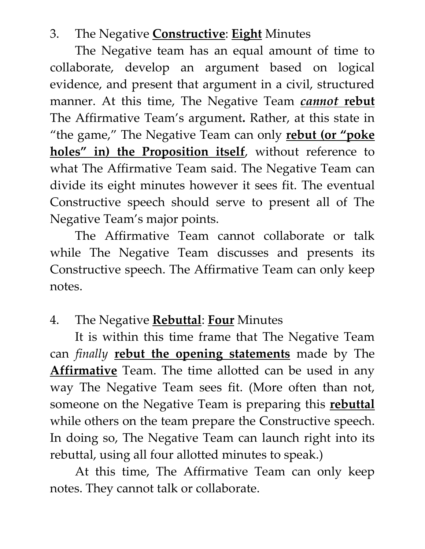## 3. The Negative **Constructive**: **Eight** Minutes

The Negative team has an equal amount of time to collaborate, develop an argument based on logical evidence, and present that argument in a civil, structured manner. At this time, The Negative Team *cannot* **rebut** The Affirmative Team's argument**.** Rather, at this state in "the game," The Negative Team can only **rebut (or "poke holes" in) the Proposition itself**, without reference to what The Affirmative Team said. The Negative Team can divide its eight minutes however it sees fit. The eventual Constructive speech should serve to present all of The Negative Team's major points.

The Affirmative Team cannot collaborate or talk while The Negative Team discusses and presents its Constructive speech. The Affirmative Team can only keep notes.

# 4. The Negative **Rebuttal**: **Four** Minutes

It is within this time frame that The Negative Team can *finally* **rebut the opening statements** made by The **Affirmative** Team. The time allotted can be used in any way The Negative Team sees fit. (More often than not, someone on the Negative Team is preparing this **rebuttal** while others on the team prepare the Constructive speech. In doing so, The Negative Team can launch right into its rebuttal, using all four allotted minutes to speak.)

At this time, The Affirmative Team can only keep notes. They cannot talk or collaborate.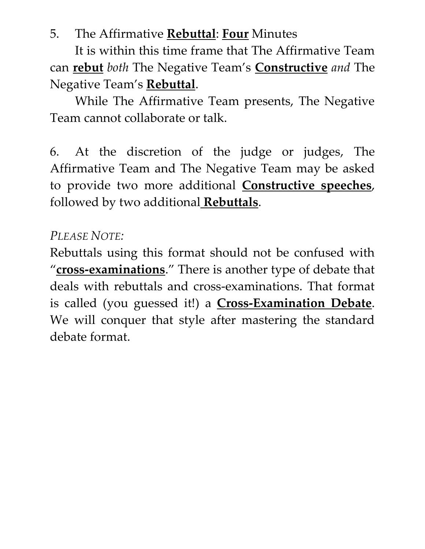## 5. The Affirmative **Rebuttal**: **Four** Minutes

It is within this time frame that The Affirmative Team can **rebut** *both* The Negative Team's **Constructive** *and* The Negative Team's **Rebuttal**.

While The Affirmative Team presents, The Negative Team cannot collaborate or talk.

6. At the discretion of the judge or judges, The Affirmative Team and The Negative Team may be asked to provide two more additional **Constructive speeches**, followed by two additional **Rebuttals**.

## *PLEASE NOTE:*

Rebuttals using this format should not be confused with "**cross-examinations**." There is another type of debate that deals with rebuttals and cross-examinations. That format is called (you guessed it!) a **Cross-Examination Debate**. We will conquer that style after mastering the standard debate format.